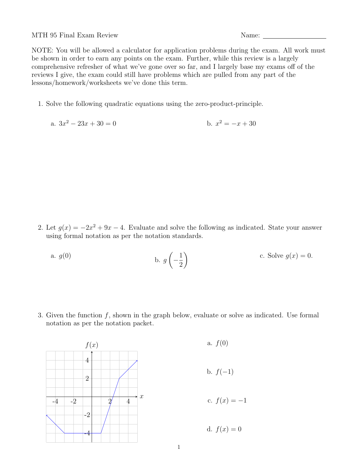MTH 95 Final Exam Review Name:

NOTE: You will be allowed a calculator for application problems during the exam. All work must be shown in order to earn any points on the exam. Further, while this review is a largely comprehensive refresher of what we've gone over so far, and I largely base my exams off of the reviews I give, the exam could still have problems which are pulled from any part of the lessons/homework/worksheets we've done this term.

1. Solve the following quadratic equations using the zero-product-principle.

a. 
$$
3x^2 - 23x + 30 = 0
$$
  
b.  $x^2 = -x + 30$ 

2. Let  $g(x) = -2x^2 + 9x - 4$ . Evaluate and solve the following as indicated. State your answer using formal notation as per the notation standards.

a. 
$$
g(0)
$$
 b.  $g\left(-\frac{1}{2}\right)$  c. Solve  $g(x) = 0$ .

3. Given the function  $f$ , shown in the graph below, evaluate or solve as indicated. Use formal notation as per the notation packet.



a.  $f(0)$ b.  $f(-1)$ c.  $f(x) = -1$ 

d.  $f(x) = 0$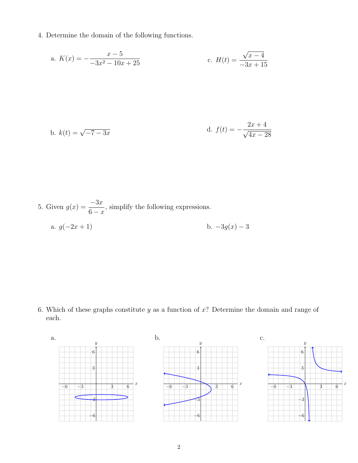4. Determine the domain of the following functions.

a. 
$$
K(x) = -\frac{x-5}{-3x^2 - 10x + 25}
$$
 c.  $H(t) = \frac{\sqrt{x-4}}{-3x + 15}$ 

b. 
$$
k(t) = \sqrt{-7 - 3x}
$$
  
d.  $f(t) = -\frac{2x + 4}{\sqrt{4x - 28}}$ 

5. Given 
$$
g(x) = \frac{-3x}{6-x}
$$
, simplify the following expressions.  
a.  $g(-2x+1)$  b.  $-3g(x) - 3$ 

6. Which of these graphs constitute  $y$  as a function of  $x$ ? Determine the domain and range of each.

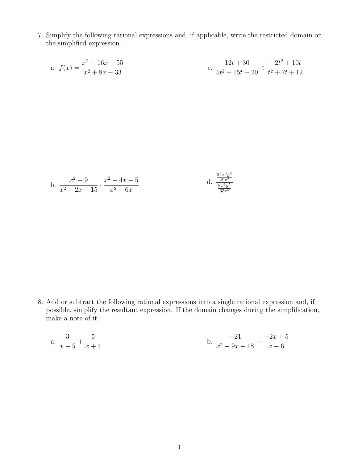7. Simplify the following rational expressions and, if applicable, write the restricted domain on the simplified expression.

a. 
$$
f(x) = \frac{x^2 + 16x + 55}{x^2 + 8x - 33}
$$
  
c.  $\frac{12t + 30}{5t^2 + 15t - 20} \div \frac{-2t^2 + 10t}{t^2 + 7t + 12}$ 

b. 
$$
\frac{x^2 - 9}{x^2 - 2x - 15} \cdot \frac{x^2 - 4x - 5}{x^2 + 6x}
$$
 d. 
$$
\frac{\frac{24x^5y^4}{49z^2}}{\frac{8x^4y^5}{35z^5}}
$$

8. Add or subtract the following rational expressions into a single rational expression and, if possible, simplify the resultant expression. If the domain changes during the simplification, make a note of it.

a. 
$$
\frac{3}{x-5} + \frac{5}{x+4}
$$
 b.  $\frac{-21}{x^2-9x+18} - \frac{-2x+5}{x-6}$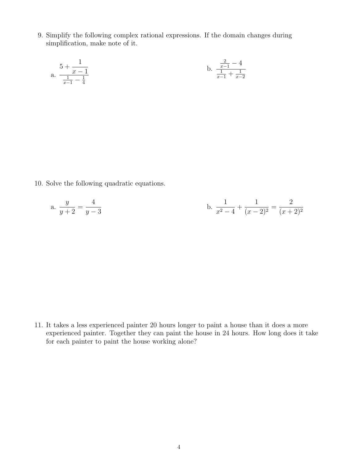9. Simplify the following complex rational expressions. If the domain changes during simplification, make note of it.

a. 
$$
\frac{5 + \frac{1}{x - 1}}{\frac{1}{x - 1} - \frac{1}{4}}
$$
b. 
$$
\frac{\frac{2}{x - 1} - 4}{\frac{1}{x - 1} + \frac{1}{x - 2}}
$$

10. Solve the following quadratic equations.

a. 
$$
\frac{y}{y+2} = \frac{4}{y-3}
$$
 b.  $\frac{1}{x^2-4} + \frac{1}{(x-2)^2} = \frac{2}{(x+2)^2}$ 

11. It takes a less experienced painter 20 hours longer to paint a house than it does a more experienced painter. Together they can paint the house in 24 hours. How long does it take for each painter to paint the house working alone?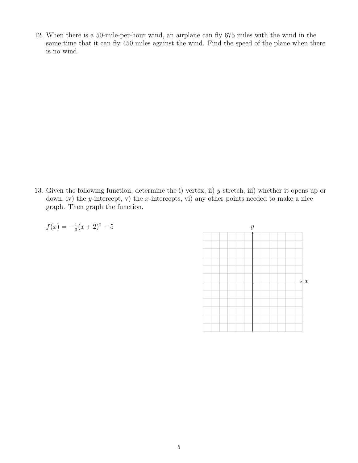12. When there is a 50-mile-per-hour wind, an airplane can fly 675 miles with the wind in the same time that it can fly 450 miles against the wind. Find the speed of the plane when there is no wind.

13. Given the following function, determine the i) vertex, ii) y-stretch, iii) whether it opens up or down, iv) the y-intercept, v) the x-intercepts, vi) any other points needed to make a nice graph. Then graph the function.



$$
f(x) = -\frac{1}{3}(x+2)^2 + 3
$$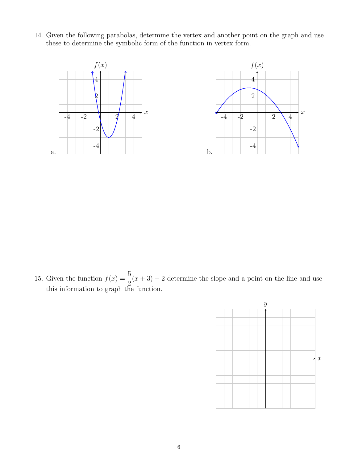14. Given the following parabolas, determine the vertex and another point on the graph and use these to determine the symbolic form of the function in vertex form.



15. Given the function  $f(x) = \frac{5}{2}$ 2  $(x+3) - 2$  determine the slope and a point on the line and use this information to graph the function.

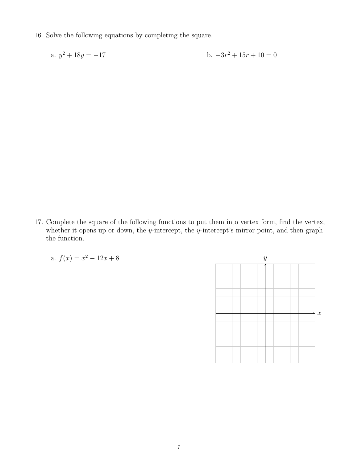16. Solve the following equations by completing the square.

a. 
$$
y^2 + 18y = -17
$$
 b.  $-3r^2 + 15r + 10 = 0$ 

17. Complete the square of the following functions to put them into vertex form, find the vertex, whether it opens up or down, the y-intercept, the y-intercept's mirror point, and then graph the function.

a. 
$$
f(x) = x^2 - 12x + 8
$$

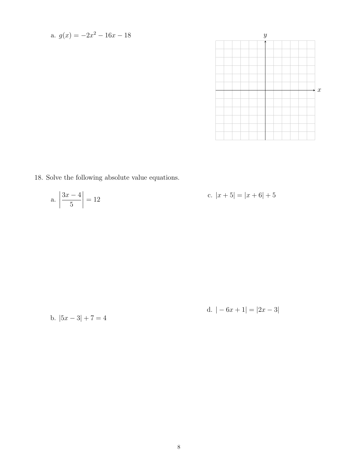a. 
$$
g(x) = -2x^2 - 16x - 18
$$



18. Solve the following absolute value equations.

a. 
$$
\left| \frac{3x-4}{5} \right| = 12
$$
 c.  $|x+5| = |x+6| + 5$ 

b. 
$$
|5x-3|+7=4
$$

d. 
$$
|-6x+1|=|2x-3|
$$